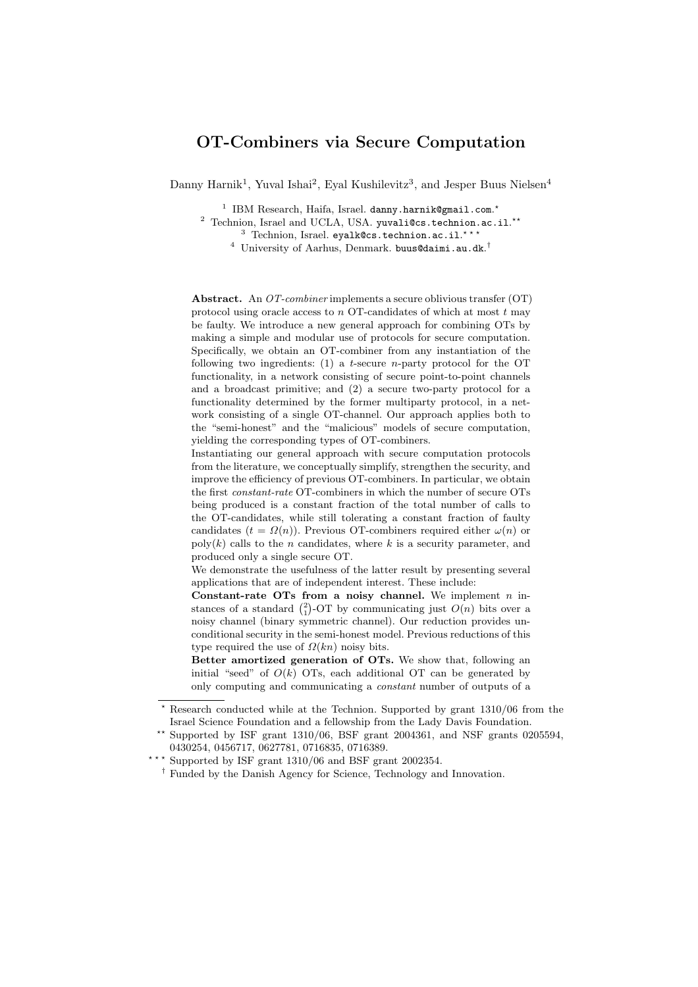# OT-Combiners via Secure Computation

Danny Harnik<sup>1</sup>, Yuval Ishai<sup>2</sup>, Eyal Kushilevitz<sup>3</sup>, and Jesper Buus Nielsen<sup>4</sup>

<sup>1</sup> IBM Research, Haifa, Israel. danny.harnik@gmail.com.\*

 $^2$  Technion, Israel and UCLA, USA. yuvali@cs.technion.ac.il.\*\*

 $^3$  Technion, Israel. eyalk@cs.technion.ac.il.\*\*\*

<sup>4</sup> University of Aarhus, Denmark. buus@daimi.au.dk.<sup>†</sup>

Abstract. An OT-combiner implements a secure oblivious transfer (OT) protocol using oracle access to  $n$  OT-candidates of which at most  $t$  may be faulty. We introduce a new general approach for combining OTs by making a simple and modular use of protocols for secure computation. Specifically, we obtain an OT-combiner from any instantiation of the following two ingredients: (1) a *t*-secure *n*-party protocol for the OT functionality, in a network consisting of secure point-to-point channels and a broadcast primitive; and (2) a secure two-party protocol for a functionality determined by the former multiparty protocol, in a network consisting of a single OT-channel. Our approach applies both to the "semi-honest" and the "malicious" models of secure computation, yielding the corresponding types of OT-combiners.

Instantiating our general approach with secure computation protocols from the literature, we conceptually simplify, strengthen the security, and improve the efficiency of previous OT-combiners. In particular, we obtain the first constant-rate OT-combiners in which the number of secure OTs being produced is a constant fraction of the total number of calls to the OT-candidates, while still tolerating a constant fraction of faulty candidates  $(t = \Omega(n))$ . Previous OT-combiners required either  $\omega(n)$  or  $poly(k)$  calls to the *n* candidates, where *k* is a security parameter, and produced only a single secure OT.

We demonstrate the usefulness of the latter result by presenting several applications that are of independent interest. These include:

Constant-rate OTs from a noisy channel. We implement *n* in-**Constant-rate OTS from a noisy channel.** We implement *n* instances of a standard  $\binom{2}{1}$ -OT by communicating just  $O(n)$  bits over a noisy channel (binary symmetric channel). Our reduction provides unconditional security in the semi-honest model. Previous reductions of this type required the use of  $\Omega(kn)$  noisy bits.

Better amortized generation of OTs. We show that, following an initial "seed" of  $O(k)$  OTs, each additional OT can be generated by only computing and communicating a constant number of outputs of a

<sup>?</sup> Research conducted while at the Technion. Supported by grant 1310/06 from the Israel Science Foundation and a fellowship from the Lady Davis Foundation.

<sup>\*\*</sup> Supported by ISF grant  $1310/06$ , BSF grant  $2004361$ , and NSF grants 0205594, 0430254, 0456717, 0627781, 0716835, 0716389.

 $\star\star\star$  Supported by ISF grant 1310/06 and BSF grant 2002354.

<sup>†</sup> Funded by the Danish Agency for Science, Technology and Innovation.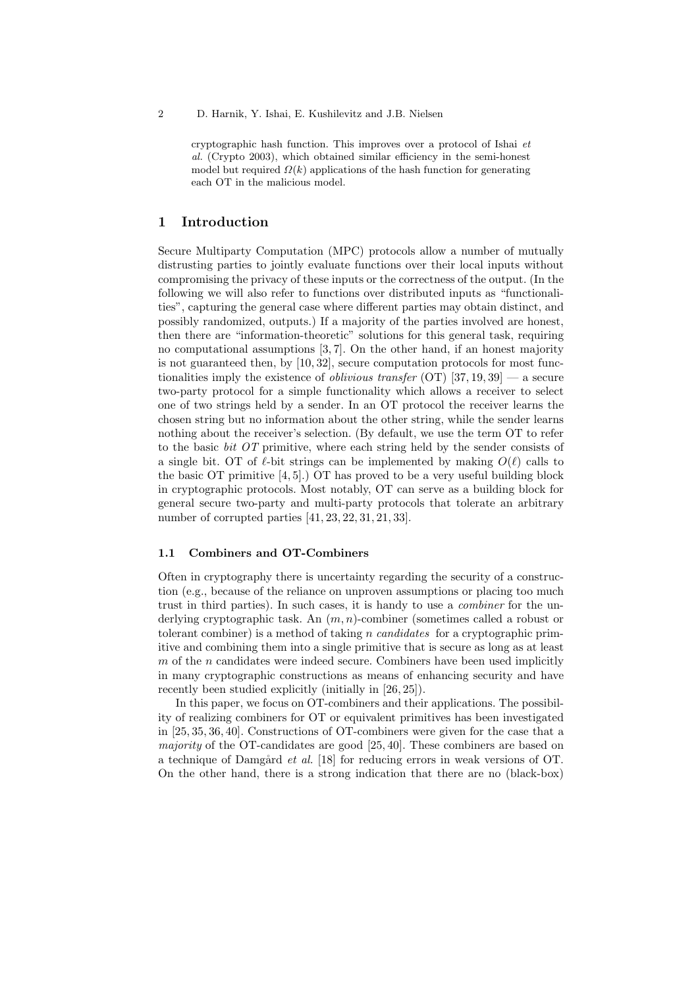cryptographic hash function. This improves over a protocol of Ishai et al. (Crypto 2003), which obtained similar efficiency in the semi-honest model but required  $\Omega(k)$  applications of the hash function for generating each OT in the malicious model.

## 1 Introduction

Secure Multiparty Computation (MPC) protocols allow a number of mutually distrusting parties to jointly evaluate functions over their local inputs without compromising the privacy of these inputs or the correctness of the output. (In the following we will also refer to functions over distributed inputs as "functionalities", capturing the general case where different parties may obtain distinct, and possibly randomized, outputs.) If a majority of the parties involved are honest, then there are "information-theoretic" solutions for this general task, requiring no computational assumptions [3, 7]. On the other hand, if an honest majority is not guaranteed then, by [10, 32], secure computation protocols for most functionalities imply the existence of *oblivious transfer* (OT) [37, 19, 39]  $-$  a secure two-party protocol for a simple functionality which allows a receiver to select one of two strings held by a sender. In an OT protocol the receiver learns the chosen string but no information about the other string, while the sender learns nothing about the receiver's selection. (By default, we use the term OT to refer to the basic bit OT primitive, where each string held by the sender consists of a single bit. OT of  $\ell$ -bit strings can be implemented by making  $O(\ell)$  calls to the basic OT primitive [4, 5].) OT has proved to be a very useful building block in cryptographic protocols. Most notably, OT can serve as a building block for general secure two-party and multi-party protocols that tolerate an arbitrary number of corrupted parties [41, 23, 22, 31, 21, 33].

## 1.1 Combiners and OT-Combiners

Often in cryptography there is uncertainty regarding the security of a construction (e.g., because of the reliance on unproven assumptions or placing too much trust in third parties). In such cases, it is handy to use a combiner for the underlying cryptographic task. An  $(m, n)$ -combiner (sometimes called a robust or tolerant combiner) is a method of taking n *candidates* for a cryptographic primitive and combining them into a single primitive that is secure as long as at least  $m$  of the  $n$  candidates were indeed secure. Combiners have been used implicitly in many cryptographic constructions as means of enhancing security and have recently been studied explicitly (initially in [26, 25]).

In this paper, we focus on OT-combiners and their applications. The possibility of realizing combiners for OT or equivalent primitives has been investigated in [25, 35, 36, 40]. Constructions of OT-combiners were given for the case that a majority of the OT-candidates are good [25, 40]. These combiners are based on a technique of Damgård *et al.* [18] for reducing errors in weak versions of  $OT$ . On the other hand, there is a strong indication that there are no (black-box)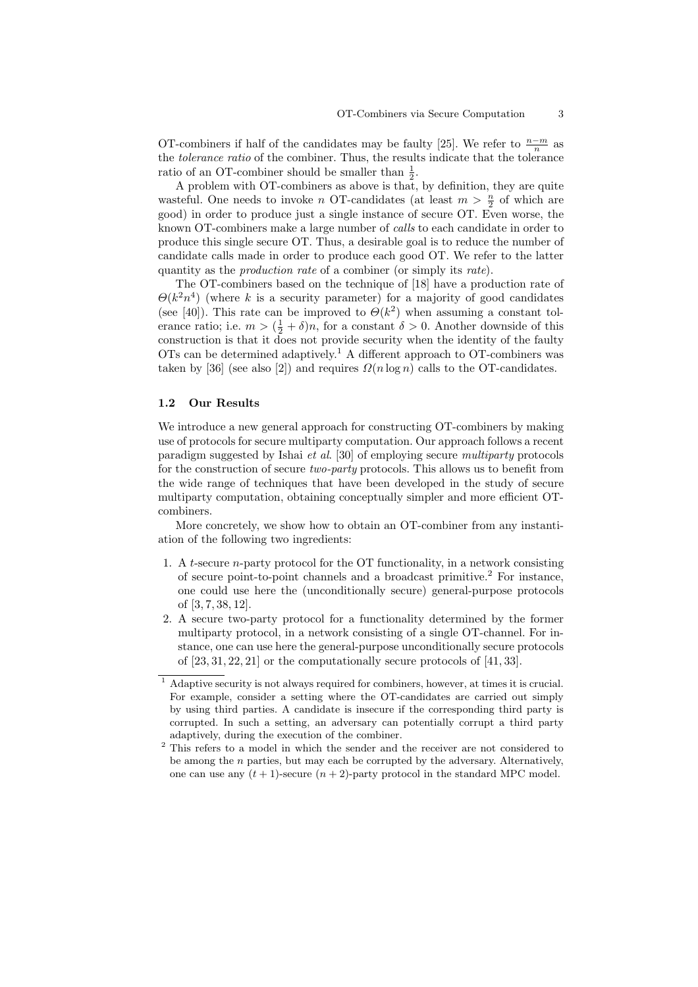OT-combiners if half of the candidates may be faulty [25]. We refer to  $\frac{n-m}{n}$  as the tolerance ratio of the combiner. Thus, the results indicate that the tolerance ratio of an OT-combiner should be smaller than  $\frac{1}{2}$ .

A problem with OT-combiners as above is that, by definition, they are quite wasteful. One needs to invoke n OT-candidates (at least  $m > \frac{n}{2}$  of which are good) in order to produce just a single instance of secure OT. Even worse, the known OT-combiners make a large number of calls to each candidate in order to produce this single secure OT. Thus, a desirable goal is to reduce the number of candidate calls made in order to produce each good OT. We refer to the latter quantity as the production rate of a combiner (or simply its rate).

The OT-combiners based on the technique of [18] have a production rate of  $\Theta(k^2 n^4)$  (where k is a security parameter) for a majority of good candidates (see [40]). This rate can be improved to  $\Theta(k^2)$  when assuming a constant tolerance ratio; i.e.  $m > (\frac{1}{2} + \delta)n$ , for a constant  $\delta > 0$ . Another downside of this construction is that it does not provide security when the identity of the faulty OTs can be determined adaptively.<sup>1</sup> A different approach to OT-combiners was taken by [36] (see also [2]) and requires  $\Omega(n \log n)$  calls to the OT-candidates.

#### 1.2 Our Results

We introduce a new general approach for constructing OT-combiners by making use of protocols for secure multiparty computation. Our approach follows a recent paradigm suggested by Ishai et al. [30] of employing secure multiparty protocols for the construction of secure *two-party* protocols. This allows us to benefit from the wide range of techniques that have been developed in the study of secure multiparty computation, obtaining conceptually simpler and more efficient OTcombiners.

More concretely, we show how to obtain an OT-combiner from any instantiation of the following two ingredients:

- 1. A  $t$ -secure *n*-party protocol for the OT functionality, in a network consisting of secure point-to-point channels and a broadcast primitive.<sup>2</sup> For instance, one could use here the (unconditionally secure) general-purpose protocols of [3, 7, 38, 12].
- 2. A secure two-party protocol for a functionality determined by the former multiparty protocol, in a network consisting of a single OT-channel. For instance, one can use here the general-purpose unconditionally secure protocols of [23, 31, 22, 21] or the computationally secure protocols of [41, 33].

 $^1$  Adaptive security is not always required for combiners, however, at times it is crucial. For example, consider a setting where the OT-candidates are carried out simply by using third parties. A candidate is insecure if the corresponding third party is corrupted. In such a setting, an adversary can potentially corrupt a third party adaptively, during the execution of the combiner.

<sup>&</sup>lt;sup>2</sup> This refers to a model in which the sender and the receiver are not considered to be among the  $n$  parties, but may each be corrupted by the adversary. Alternatively, one can use any  $(t + 1)$ -secure  $(n + 2)$ -party protocol in the standard MPC model.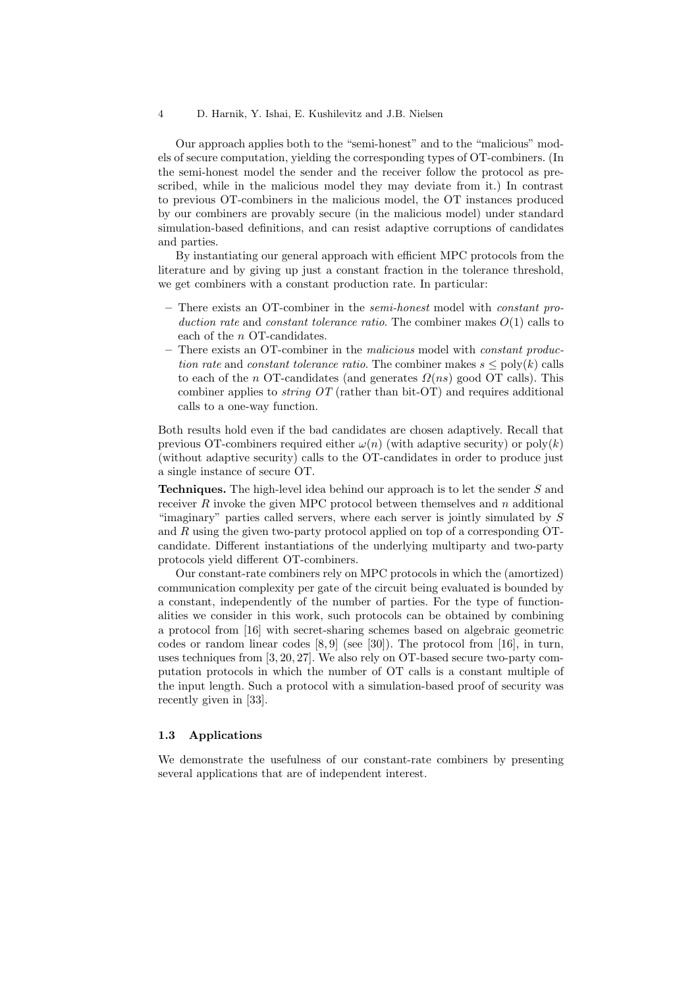#### 4 D. Harnik, Y. Ishai, E. Kushilevitz and J.B. Nielsen

Our approach applies both to the "semi-honest" and to the "malicious" models of secure computation, yielding the corresponding types of OT-combiners. (In the semi-honest model the sender and the receiver follow the protocol as prescribed, while in the malicious model they may deviate from it.) In contrast to previous OT-combiners in the malicious model, the OT instances produced by our combiners are provably secure (in the malicious model) under standard simulation-based definitions, and can resist adaptive corruptions of candidates and parties.

By instantiating our general approach with efficient MPC protocols from the literature and by giving up just a constant fraction in the tolerance threshold, we get combiners with a constant production rate. In particular:

- There exists an OT-combiner in the semi-honest model with constant production rate and constant tolerance ratio. The combiner makes  $O(1)$  calls to each of the n OT-candidates.
- There exists an OT-combiner in the malicious model with constant production rate and constant tolerance ratio. The combiner makes  $s \leq \text{poly}(k)$  calls to each of the n OT-candidates (and generates  $\Omega(ns)$  good OT calls). This combiner applies to *string OT* (rather than bit-OT) and requires additional calls to a one-way function.

Both results hold even if the bad candidates are chosen adaptively. Recall that previous OT-combiners required either  $\omega(n)$  (with adaptive security) or poly $(k)$ (without adaptive security) calls to the OT-candidates in order to produce just a single instance of secure OT.

Techniques. The high-level idea behind our approach is to let the sender S and receiver R invoke the given MPC protocol between themselves and n additional "imaginary" parties called servers, where each server is jointly simulated by S and R using the given two-party protocol applied on top of a corresponding OTcandidate. Different instantiations of the underlying multiparty and two-party protocols yield different OT-combiners.

Our constant-rate combiners rely on MPC protocols in which the (amortized) communication complexity per gate of the circuit being evaluated is bounded by a constant, independently of the number of parties. For the type of functionalities we consider in this work, such protocols can be obtained by combining a protocol from [16] with secret-sharing schemes based on algebraic geometric codes or random linear codes  $[8, 9]$  (see [30]). The protocol from [16], in turn, uses techniques from [3, 20, 27]. We also rely on OT-based secure two-party computation protocols in which the number of OT calls is a constant multiple of the input length. Such a protocol with a simulation-based proof of security was recently given in [33].

#### 1.3 Applications

We demonstrate the usefulness of our constant-rate combiners by presenting several applications that are of independent interest.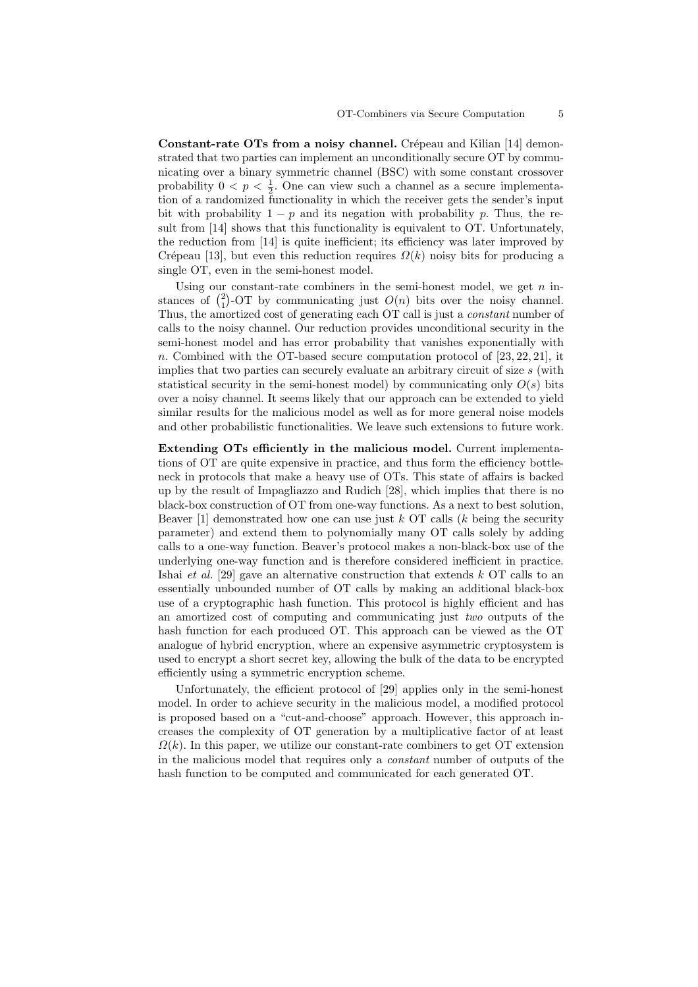Constant-rate OTs from a noisy channel. Crépeau and Kilian [14] demonstrated that two parties can implement an unconditionally secure OT by communicating over a binary symmetric channel (BSC) with some constant crossover probability  $0 < p < \frac{1}{2}$ . One can view such a channel as a secure implementation of a randomized functionality in which the receiver gets the sender's input bit with probability  $1 - p$  and its negation with probability p. Thus, the result from [14] shows that this functionality is equivalent to OT. Unfortunately, the reduction from [14] is quite inefficient; its efficiency was later improved by Crépeau [13], but even this reduction requires  $\Omega(k)$  noisy bits for producing a single OT, even in the semi-honest model.

Using our constant-rate combiners in the semi-honest model, we get *n* in-Using our constant-rate completes in the semi-nonest model, we get *n* instances of  $\binom{2}{1}$ -OT by communicating just  $O(n)$  bits over the noisy channel. Thus, the amortized cost of generating each OT call is just a constant number of calls to the noisy channel. Our reduction provides unconditional security in the semi-honest model and has error probability that vanishes exponentially with n. Combined with the OT-based secure computation protocol of [23, 22, 21], it implies that two parties can securely evaluate an arbitrary circuit of size s (with statistical security in the semi-honest model) by communicating only  $O(s)$  bits over a noisy channel. It seems likely that our approach can be extended to yield similar results for the malicious model as well as for more general noise models and other probabilistic functionalities. We leave such extensions to future work.

Extending OTs efficiently in the malicious model. Current implementations of OT are quite expensive in practice, and thus form the efficiency bottleneck in protocols that make a heavy use of OTs. This state of affairs is backed up by the result of Impagliazzo and Rudich [28], which implies that there is no black-box construction of OT from one-way functions. As a next to best solution, Beaver [1] demonstrated how one can use just  $k$  OT calls ( $k$  being the security parameter) and extend them to polynomially many OT calls solely by adding calls to a one-way function. Beaver's protocol makes a non-black-box use of the underlying one-way function and is therefore considered inefficient in practice. Ishai *et al.* [29] gave an alternative construction that extends  $k$  OT calls to an essentially unbounded number of OT calls by making an additional black-box use of a cryptographic hash function. This protocol is highly efficient and has an amortized cost of computing and communicating just two outputs of the hash function for each produced OT. This approach can be viewed as the OT analogue of hybrid encryption, where an expensive asymmetric cryptosystem is used to encrypt a short secret key, allowing the bulk of the data to be encrypted efficiently using a symmetric encryption scheme.

Unfortunately, the efficient protocol of [29] applies only in the semi-honest model. In order to achieve security in the malicious model, a modified protocol is proposed based on a "cut-and-choose" approach. However, this approach increases the complexity of OT generation by a multiplicative factor of at least  $\Omega(k)$ . In this paper, we utilize our constant-rate combiners to get OT extension in the malicious model that requires only a constant number of outputs of the hash function to be computed and communicated for each generated OT.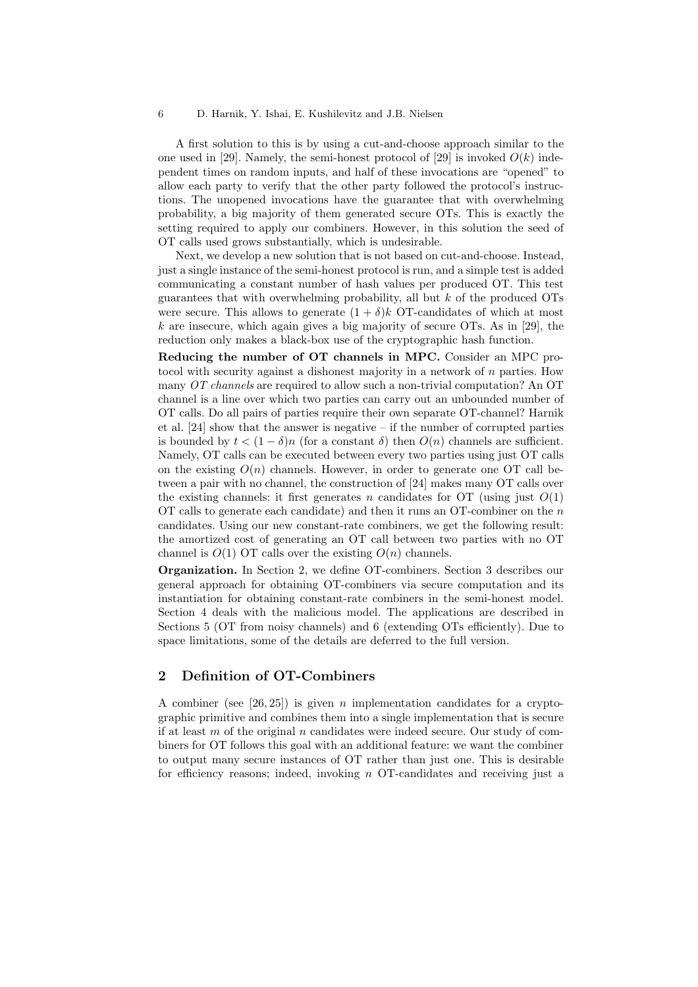A first solution to this is by using a cut-and-choose approach similar to the one used in [29]. Namely, the semi-honest protocol of [29] is invoked  $O(k)$  independent times on random inputs, and half of these invocations are "opened" to allow each party to verify that the other party followed the protocol's instructions. The unopened invocations have the guarantee that with overwhelming probability, a big majority of them generated secure OTs. This is exactly the setting required to apply our combiners. However, in this solution the seed of OT calls used grows substantially, which is undesirable.

Next, we develop a new solution that is not based on cut-and-choose. Instead, just a single instance of the semi-honest protocol is run, and a simple test is added communicating a constant number of hash values per produced OT. This test guarantees that with overwhelming probability, all but  $k$  of the produced OTs were secure. This allows to generate  $(1 + \delta)k$  OT-candidates of which at most  $k$  are insecure, which again gives a big majority of secure OTs. As in [29], the reduction only makes a black-box use of the cryptographic hash function.

Reducing the number of OT channels in MPC. Consider an MPC protocol with security against a dishonest majority in a network of  $n$  parties. How many OT channels are required to allow such a non-trivial computation? An OT channel is a line over which two parties can carry out an unbounded number of OT calls. Do all pairs of parties require their own separate OT-channel? Harnik et al.  $[24]$  show that the answer is negative – if the number of corrupted parties is bounded by  $t < (1 - \delta)n$  (for a constant  $\delta$ ) then  $O(n)$  channels are sufficient. Namely, OT calls can be executed between every two parties using just OT calls on the existing  $O(n)$  channels. However, in order to generate one OT call between a pair with no channel, the construction of [24] makes many OT calls over the existing channels: it first generates n candidates for OT (using just  $O(1)$ ) OT calls to generate each candidate) and then it runs an OT-combiner on the  $n$ candidates. Using our new constant-rate combiners, we get the following result: the amortized cost of generating an OT call between two parties with no OT channel is  $O(1)$  OT calls over the existing  $O(n)$  channels.

Organization. In Section 2, we define OT-combiners. Section 3 describes our general approach for obtaining OT-combiners via secure computation and its instantiation for obtaining constant-rate combiners in the semi-honest model. Section 4 deals with the malicious model. The applications are described in Sections 5 (OT from noisy channels) and 6 (extending OTs efficiently). Due to space limitations, some of the details are deferred to the full version.

## 2 Definition of OT-Combiners

A combiner (see [26, 25]) is given n implementation candidates for a cryptographic primitive and combines them into a single implementation that is secure if at least  $m$  of the original  $n$  candidates were indeed secure. Our study of combiners for OT follows this goal with an additional feature: we want the combiner to output many secure instances of OT rather than just one. This is desirable for efficiency reasons; indeed, invoking  $n$  OT-candidates and receiving just a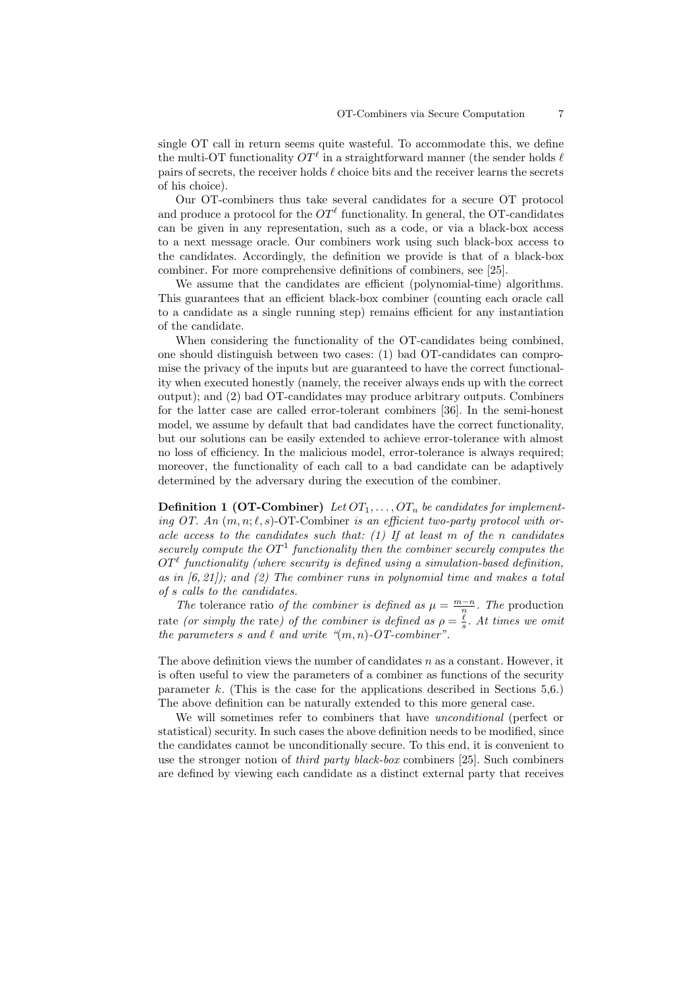single OT call in return seems quite wasteful. To accommodate this, we define the multi-OT functionality  $OT^\ell$  in a straightforward manner (the sender holds  $\ell$ pairs of secrets, the receiver holds  $\ell$  choice bits and the receiver learns the secrets of his choice).

Our OT-combiners thus take several candidates for a secure OT protocol and produce a protocol for the  $OT^{\ell}$  functionality. In general, the OT-candidates can be given in any representation, such as a code, or via a black-box access to a next message oracle. Our combiners work using such black-box access to the candidates. Accordingly, the definition we provide is that of a black-box combiner. For more comprehensive definitions of combiners, see [25].

We assume that the candidates are efficient (polynomial-time) algorithms. This guarantees that an efficient black-box combiner (counting each oracle call to a candidate as a single running step) remains efficient for any instantiation of the candidate.

When considering the functionality of the OT-candidates being combined, one should distinguish between two cases: (1) bad OT-candidates can compromise the privacy of the inputs but are guaranteed to have the correct functionality when executed honestly (namely, the receiver always ends up with the correct output); and (2) bad OT-candidates may produce arbitrary outputs. Combiners for the latter case are called error-tolerant combiners [36]. In the semi-honest model, we assume by default that bad candidates have the correct functionality, but our solutions can be easily extended to achieve error-tolerance with almost no loss of efficiency. In the malicious model, error-tolerance is always required; moreover, the functionality of each call to a bad candidate can be adaptively determined by the adversary during the execution of the combiner.

**Definition 1 (OT-Combiner)** Let  $OT_1, \ldots, OT_n$  be candidates for implementing OT. An  $(m, n; \ell, s)$ -OT-Combiner is an efficient two-party protocol with oracle access to the candidates such that: (1) If at least  $m$  of the  $n$  candidates securely compute the  $OT<sup>1</sup>$  functionality then the combiner securely computes the  $OT^{\ell}$  functionality (where security is defined using a simulation-based definition, as in  $(6, 21)$ ; and  $(2)$  The combiner runs in polynomial time and makes a total of s calls to the candidates.

The tolerance ratio of the combiner is defined as  $\mu = \frac{m-n}{n}$ . The production rate (or simply the rate) of the combiner is defined as  $\rho = \frac{\ell}{s}$ . At times we omit the parameters s and  $\ell$  and write " $(m, n)$ -OT-combiner".

The above definition views the number of candidates  $n$  as a constant. However, it is often useful to view the parameters of a combiner as functions of the security parameter k. (This is the case for the applications described in Sections  $5,6$ .) The above definition can be naturally extended to this more general case.

We will sometimes refer to combiners that have unconditional (perfect or statistical) security. In such cases the above definition needs to be modified, since the candidates cannot be unconditionally secure. To this end, it is convenient to use the stronger notion of third party black-box combiners [25]. Such combiners are defined by viewing each candidate as a distinct external party that receives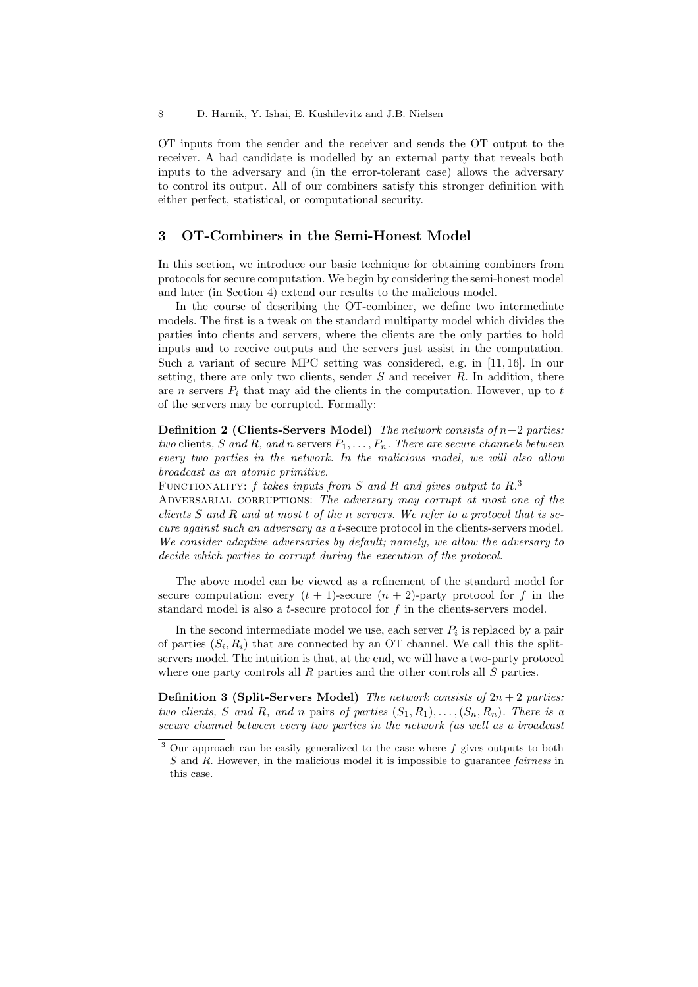OT inputs from the sender and the receiver and sends the OT output to the receiver. A bad candidate is modelled by an external party that reveals both inputs to the adversary and (in the error-tolerant case) allows the adversary to control its output. All of our combiners satisfy this stronger definition with either perfect, statistical, or computational security.

## 3 OT-Combiners in the Semi-Honest Model

In this section, we introduce our basic technique for obtaining combiners from protocols for secure computation. We begin by considering the semi-honest model and later (in Section 4) extend our results to the malicious model.

In the course of describing the OT-combiner, we define two intermediate models. The first is a tweak on the standard multiparty model which divides the parties into clients and servers, where the clients are the only parties to hold inputs and to receive outputs and the servers just assist in the computation. Such a variant of secure MPC setting was considered, e.g. in [11, 16]. In our setting, there are only two clients, sender  $S$  and receiver  $R$ . In addition, there are n servers  $P_i$  that may aid the clients in the computation. However, up to t of the servers may be corrupted. Formally:

**Definition 2 (Clients-Servers Model)** The network consists of  $n+2$  parties: two clients, S and R, and n servers  $P_1, \ldots, P_n$ . There are secure channels between every two parties in the network. In the malicious model, we will also allow broadcast as an atomic primitive.

FUNCTIONALITY: f takes inputs from S and R and gives output to  $R$ <sup>3</sup>

ADVERSARIAL CORRUPTIONS: The adversary may corrupt at most one of the clients  $S$  and  $R$  and at most  $t$  of the n servers. We refer to a protocol that is secure against such an adversary as a t-secure protocol in the clients-servers model. We consider adaptive adversaries by default; namely, we allow the adversary to decide which parties to corrupt during the execution of the protocol.

The above model can be viewed as a refinement of the standard model for secure computation: every  $(t + 1)$ -secure  $(n + 2)$ -party protocol for f in the standard model is also a  $t$ -secure protocol for  $f$  in the clients-servers model.

In the second intermediate model we use, each server  $P_i$  is replaced by a pair of parties  $(S_i, R_i)$  that are connected by an OT channel. We call this the splitservers model. The intuition is that, at the end, we will have a two-party protocol where one party controls all  $R$  parties and the other controls all  $S$  parties.

**Definition 3 (Split-Servers Model)** The network consists of  $2n + 2$  parties: two clients, S and R, and n pairs of parties  $(S_1, R_1), \ldots, (S_n, R_n)$ . There is a secure channel between every two parties in the network (as well as a broadcast

 $3$  Our approach can be easily generalized to the case where  $f$  gives outputs to both S and R. However, in the malicious model it is impossible to guarantee fairness in this case.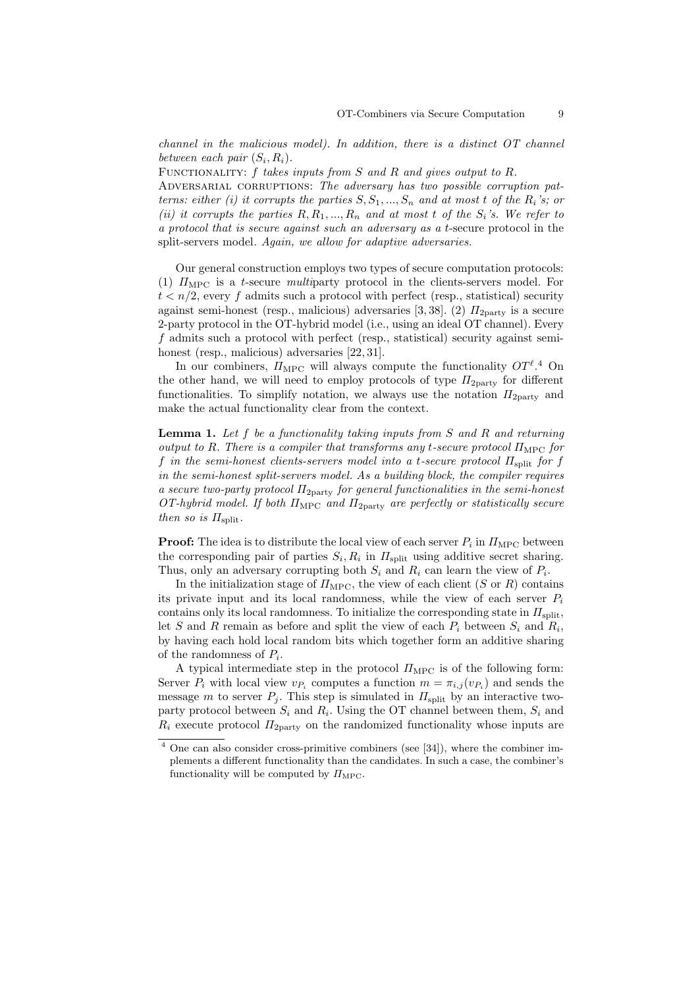channel in the malicious model). In addition, there is a distinct OT channel between each pair  $(S_i, R_i)$ .

FUNCTIONALITY:  $f$  takes inputs from  $S$  and  $R$  and gives output to  $R$ .

ADVERSARIAL CORRUPTIONS: The adversary has two possible corruption patterns: either (i) it corrupts the parties  $S, S_1, ..., S_n$  and at most t of the  $R_i$ 's; or (ii) it corrupts the parties  $R, R_1, ..., R_n$  and at most t of the  $S_i$ 's. We refer to a protocol that is secure against such an adversary as a t-secure protocol in the split-servers model. Again, we allow for adaptive adversaries.

Our general construction employs two types of secure computation protocols: (1)  $\Pi_{\text{MPC}}$  is a t-secure multiparty protocol in the clients-servers model. For  $t < n/2$ , every f admits such a protocol with perfect (resp., statistical) security against semi-honest (resp., malicious) adversaries [3, 38]. (2)  $\Pi_{2\text{party}}$  is a secure 2-party protocol in the OT-hybrid model (i.e., using an ideal OT channel). Every f admits such a protocol with perfect (resp., statistical) security against semihonest (resp., malicious) adversaries [22, 31].

In our combiners,  $\varPi_{\text{MPC}}$  will always compute the functionality  $OT^{\ell, 4}$  On the other hand, we will need to employ protocols of type  $\Pi_{2\text{party}}$  for different functionalities. To simplify notation, we always use the notation  $\Pi_{2\text{party}}$  and make the actual functionality clear from the context.

**Lemma 1.** Let f be a functionality taking inputs from  $S$  and  $R$  and returning output to R. There is a compiler that transforms any t-secure protocol  $\Pi_{\text{MPC}}$  for f in the semi-honest clients-servers model into a t-secure protocol  $\Pi_{\text{split}}$  for f in the semi-honest split-servers model. As a building block, the compiler requires a secure two-party protocol  $\Pi_{2\text{party}}$  for general functionalities in the semi-honest OT-hybrid model. If both  $\Pi_{\text{MPC}}$  and  $\Pi_{\text{2party}}$  are perfectly or statistically secure then so is  $\Pi_{split}$ .

**Proof:** The idea is to distribute the local view of each server  $P_i$  in  $\Pi_{\text{MPC}}$  between the corresponding pair of parties  $S_i, R_i$  in  $\Pi_{\text{split}}$  using additive secret sharing. Thus, only an adversary corrupting both  $S_i$  and  $R_i$  can learn the view of  $P_i$ .

In the initialization stage of  $\Pi_{\text{MPC}}$ , the view of each client (S or R) contains its private input and its local randomness, while the view of each server  $P_i$ contains only its local randomness. To initialize the corresponding state in  $\Pi_{\text{split}}$ , let S and R remain as before and split the view of each  $P_i$  between  $S_i$  and  $R_i$ , by having each hold local random bits which together form an additive sharing of the randomness of  $P_i$ .

A typical intermediate step in the protocol  $\mathcal{H}_{\text{MPC}}$  is of the following form: Server  $P_i$  with local view  $v_{P_i}$  computes a function  $m = \pi_{i,j}(v_{P_i})$  and sends the message m to server  $P_j$ . This step is simulated in  $\Pi_{\text{split}}$  by an interactive twoparty protocol between  $S_i$  and  $R_i$ . Using the OT channel between them,  $S_i$  and  $R_i$  execute protocol  $\Pi_{2\text{party}}$  on the randomized functionality whose inputs are

<sup>&</sup>lt;sup>4</sup> One can also consider cross-primitive combiners (see [34]), where the combiner implements a different functionality than the candidates. In such a case, the combiner's functionality will be computed by  $\varPi_{\text{MPC}}$ .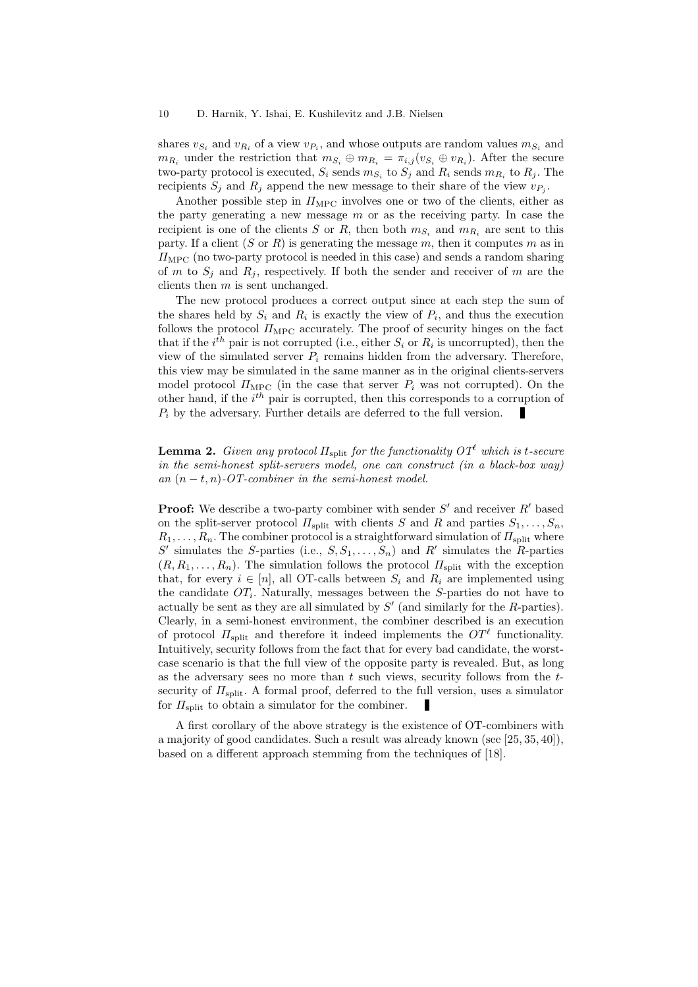shares  $v_{S_i}$  and  $v_{R_i}$  of a view  $v_{P_i}$ , and whose outputs are random values  $m_{S_i}$  and  $m_{R_i}$  under the restriction that  $m_{S_i} \oplus m_{R_i} = \pi_{i,j}(v_{S_i} \oplus v_{R_i})$ . After the secure two-party protocol is executed,  $S_i$  sends  $m_{S_i}$  to  $S_j$  and  $R_i$  sends  $m_{R_i}$  to  $R_j$ . The recipients  $S_j$  and  $R_j$  append the new message to their share of the view  $v_{P_j}$ .

Another possible step in  $\Pi_{\text{MPC}}$  involves one or two of the clients, either as the party generating a new message  $m$  or as the receiving party. In case the recipient is one of the clients S or R, then both  $m_{S_i}$  and  $m_{R_i}$  are sent to this party. If a client  $(S \text{ or } R)$  is generating the message m, then it computes m as in  $\Pi_{\text{MPC}}$  (no two-party protocol is needed in this case) and sends a random sharing of m to  $S_i$  and  $R_i$ , respectively. If both the sender and receiver of m are the clients then  $m$  is sent unchanged.

The new protocol produces a correct output since at each step the sum of the shares held by  $S_i$  and  $R_i$  is exactly the view of  $P_i$ , and thus the execution follows the protocol  $\Pi_{\text{MPC}}$  accurately. The proof of security hinges on the fact that if the  $i^{th}$  pair is not corrupted (i.e., either  $S_i$  or  $R_i$  is uncorrupted), then the view of the simulated server  $P_i$  remains hidden from the adversary. Therefore, this view may be simulated in the same manner as in the original clients-servers model protocol  $\Pi_{\text{MPC}}$  (in the case that server  $P_i$  was not corrupted). On the other hand, if the  $i^{th}$  pair is corrupted, then this corresponds to a corruption of  $P_i$  by the adversary. Further details are deferred to the full version.

**Lemma 2.** Given any protocol  $\Pi_{split}$  for the functionality  $OT^{\ell}$  which is t-secure in the semi-honest split-servers model, one can construct (in a black-box way) an  $(n - t, n)$ -OT-combiner in the semi-honest model.

**Proof:** We describe a two-party combiner with sender  $S'$  and receiver  $R'$  based on the split-server protocol  $\Pi_{split}$  with clients S and R and parties  $S_1, \ldots, S_n$ ,  $R_1, \ldots, R_n$ . The combiner protocol is a straightforward simulation of  $\Pi_{\text{split}}$  where S' simulates the S-parties (i.e.,  $S, S_1, \ldots, S_n$ ) and R' simulates the R-parties  $(R, R_1, \ldots, R_n)$ . The simulation follows the protocol  $\Pi_{\text{split}}$  with the exception that, for every  $i \in [n]$ , all OT-calls between  $S_i$  and  $R_i$  are implemented using the candidate  $OT_i$ . Naturally, messages between the S-parties do not have to actually be sent as they are all simulated by  $S'$  (and similarly for the  $R$ -parties). Clearly, in a semi-honest environment, the combiner described is an execution of protocol  $\Pi_{\text{split}}$  and therefore it indeed implements the  $OT^{\ell}$  functionality. Intuitively, security follows from the fact that for every bad candidate, the worstcase scenario is that the full view of the opposite party is revealed. But, as long as the adversary sees no more than  $t$  such views, security follows from the  $t$ security of  $\Pi_{\text{split}}$ . A formal proof, deferred to the full version, uses a simulator for  $\Pi_{\text{split}}$  to obtain a simulator for the combiner. п

A first corollary of the above strategy is the existence of OT-combiners with a majority of good candidates. Such a result was already known (see [25, 35, 40]), based on a different approach stemming from the techniques of [18].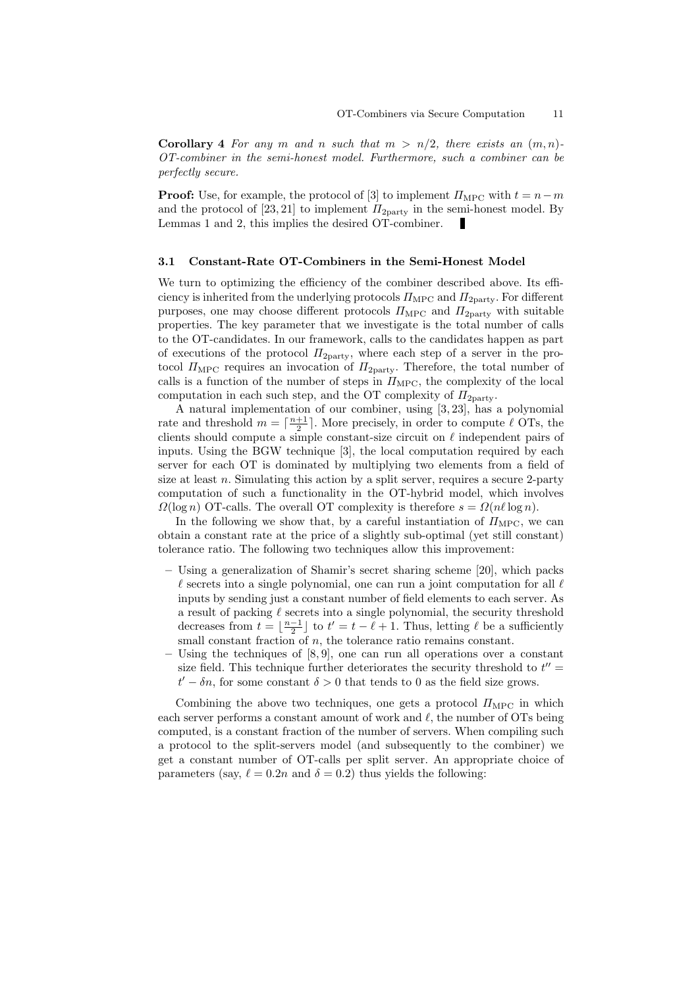**Corollary 4** For any m and n such that  $m > n/2$ , there exists an  $(m, n)$ -OT-combiner in the semi-honest model. Furthermore, such a combiner can be perfectly secure.

**Proof:** Use, for example, the protocol of [3] to implement  $\Pi_{\text{MPC}}$  with  $t = n-m$ and the protocol of [23, 21] to implement  $\Pi_{2\text{partv}}$  in the semi-honest model. By Lemmas 1 and 2, this implies the desired OT-combiner.

#### 3.1 Constant-Rate OT-Combiners in the Semi-Honest Model

We turn to optimizing the efficiency of the combiner described above. Its efficiency is inherited from the underlying protocols  $\Pi_{\text{MPC}}$  and  $\Pi_{\text{2partv}}$ . For different purposes, one may choose different protocols  $\Pi_{\text{MPC}}$  and  $\Pi_{\text{2party}}$  with suitable properties. The key parameter that we investigate is the total number of calls to the OT-candidates. In our framework, calls to the candidates happen as part of executions of the protocol  $\Pi_{2\text{party}}$ , where each step of a server in the protocol  $\Pi_{\text{MPC}}$  requires an invocation of  $\Pi_{\text{2party}}$ . Therefore, the total number of calls is a function of the number of steps in  $\mathcal{H}_{\text{MPC}}$ , the complexity of the local computation in each such step, and the OT complexity of  $\Pi_{2\text{party}}$ .

A natural implementation of our combiner, using [3, 23], has a polynomial rate and threshold  $m = \lceil \frac{n+1}{2} \rceil$ . More precisely, in order to compute  $\ell$  OTs, the clients should compute a simple constant-size circuit on  $\ell$  independent pairs of inputs. Using the BGW technique [3], the local computation required by each server for each OT is dominated by multiplying two elements from a field of size at least  $n$ . Simulating this action by a split server, requires a secure 2-party computation of such a functionality in the OT-hybrid model, which involves  $\Omega(\log n)$  OT-calls. The overall OT complexity is therefore  $s = \Omega(n\ell \log n)$ .

In the following we show that, by a careful instantiation of  $\Pi_{\text{MPC}}$ , we can obtain a constant rate at the price of a slightly sub-optimal (yet still constant) tolerance ratio. The following two techniques allow this improvement:

- Using a generalization of Shamir's secret sharing scheme [20], which packs  $\ell$  secrets into a single polynomial, one can run a joint computation for all  $\ell$ inputs by sending just a constant number of field elements to each server. As a result of packing  $\ell$  secrets into a single polynomial, the security threshold decreases from  $t = \lfloor \frac{n-1}{2} \rfloor$  to  $t' = t - \ell + 1$ . Thus, letting  $\ell$  be a sufficiently small constant fraction of *n*, the tolerance ratio remains constant.
- Using the techniques of  $[8, 9]$ , one can run all operations over a constant size field. This technique further deteriorates the security threshold to  $t'' =$  $t' - \delta n$ , for some constant  $\delta > 0$  that tends to 0 as the field size grows.

Combining the above two techniques, one gets a protocol  $\Pi_{\text{MPC}}$  in which each server performs a constant amount of work and  $\ell$ , the number of OTs being computed, is a constant fraction of the number of servers. When compiling such a protocol to the split-servers model (and subsequently to the combiner) we get a constant number of OT-calls per split server. An appropriate choice of parameters (say,  $\ell = 0.2n$  and  $\delta = 0.2$ ) thus yields the following: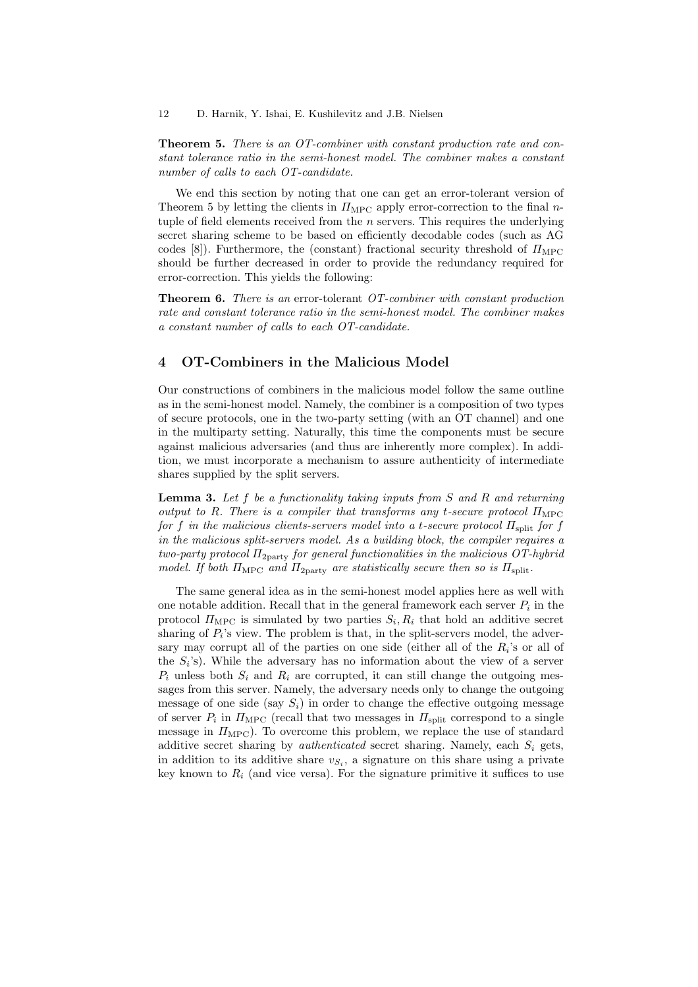12 D. Harnik, Y. Ishai, E. Kushilevitz and J.B. Nielsen

Theorem 5. There is an OT-combiner with constant production rate and constant tolerance ratio in the semi-honest model. The combiner makes a constant number of calls to each OT-candidate.

We end this section by noting that one can get an error-tolerant version of Theorem 5 by letting the clients in  $\Pi_{\text{MPC}}$  apply error-correction to the final ntuple of field elements received from the  $n$  servers. This requires the underlying secret sharing scheme to be based on efficiently decodable codes (such as AG codes [8]). Furthermore, the (constant) fractional security threshold of  $\Pi_{\text{MPC}}$ should be further decreased in order to provide the redundancy required for error-correction. This yields the following:

**Theorem 6.** There is an error-tolerant OT-combiner with constant production rate and constant tolerance ratio in the semi-honest model. The combiner makes a constant number of calls to each OT-candidate.

## 4 OT-Combiners in the Malicious Model

Our constructions of combiners in the malicious model follow the same outline as in the semi-honest model. Namely, the combiner is a composition of two types of secure protocols, one in the two-party setting (with an OT channel) and one in the multiparty setting. Naturally, this time the components must be secure against malicious adversaries (and thus are inherently more complex). In addition, we must incorporate a mechanism to assure authenticity of intermediate shares supplied by the split servers.

**Lemma 3.** Let  $f$  be a functionality taking inputs from  $S$  and  $R$  and returning output to R. There is a compiler that transforms any t-secure protocol  $\Pi_{\text{MPC}}$ for f in the malicious clients-servers model into a t-secure protocol  $\Pi_{\text{split}}$  for f in the malicious split-servers model. As a building block, the compiler requires a two-party protocol  $\Pi_{2\text{party}}$  for general functionalities in the malicious OT-hybrid model. If both  $\Pi_{\text{MPC}}$  and  $\Pi_{\text{2party}}$  are statistically secure then so is  $\Pi_{\text{split}}$ .

The same general idea as in the semi-honest model applies here as well with one notable addition. Recall that in the general framework each server  $P_i$  in the protocol  $\Pi_{\text{MPC}}$  is simulated by two parties  $S_i, R_i$  that hold an additive secret sharing of  $P_i$ 's view. The problem is that, in the split-servers model, the adversary may corrupt all of the parties on one side (either all of the  $R_i$ 's or all of the  $S_i$ 's). While the adversary has no information about the view of a server  $P_i$  unless both  $S_i$  and  $R_i$  are corrupted, it can still change the outgoing messages from this server. Namely, the adversary needs only to change the outgoing message of one side (say  $S_i$ ) in order to change the effective outgoing message of server  $P_i$  in  $\Pi_{\text{MPC}}$  (recall that two messages in  $\Pi_{\text{split}}$  correspond to a single message in  $\Pi_{\text{MPC}}$ ). To overcome this problem, we replace the use of standard additive secret sharing by *authenticated* secret sharing. Namely, each  $S_i$  gets, in addition to its additive share  $v_{S_i}$ , a signature on this share using a private key known to  $R_i$  (and vice versa). For the signature primitive it suffices to use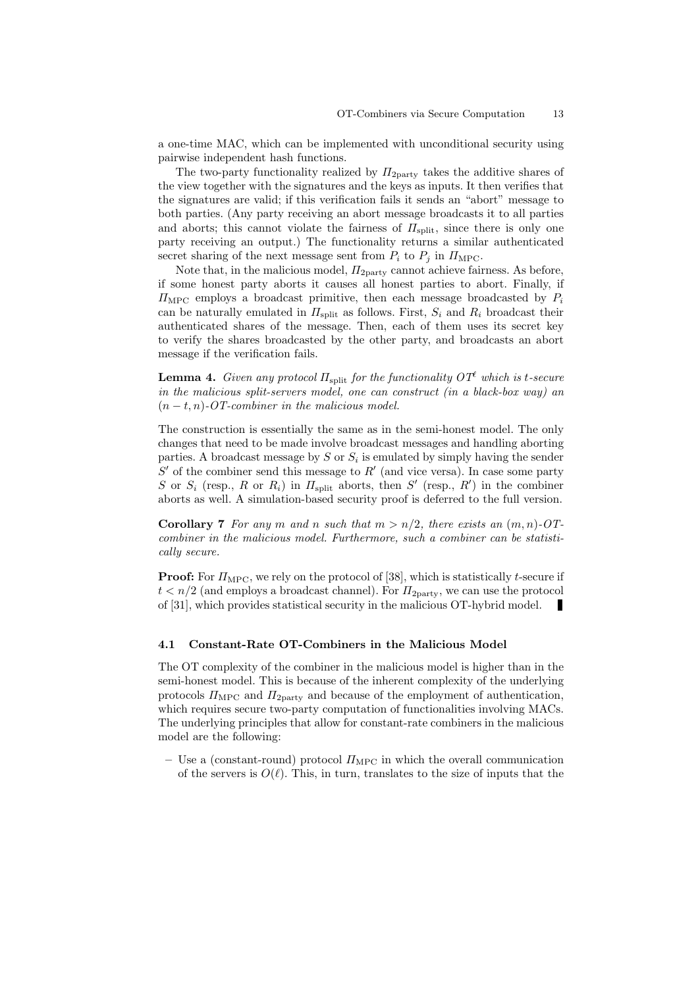a one-time MAC, which can be implemented with unconditional security using pairwise independent hash functions.

The two-party functionality realized by  $\Pi_{\text{2party}}$  takes the additive shares of the view together with the signatures and the keys as inputs. It then verifies that the signatures are valid; if this verification fails it sends an "abort" message to both parties. (Any party receiving an abort message broadcasts it to all parties and aborts; this cannot violate the fairness of  $\Pi_{\text{split}}$ , since there is only one party receiving an output.) The functionality returns a similar authenticated secret sharing of the next message sent from  $P_i$  to  $P_j$  in  $\Pi_{\text{MPC}}$ .

Note that, in the malicious model,  $\Pi_{2\text{party}}$  cannot achieve fairness. As before, if some honest party aborts it causes all honest parties to abort. Finally, if  $\Pi_{\text{MPC}}$  employs a broadcast primitive, then each message broadcasted by  $P_i$ can be naturally emulated in  $\Pi_{\text{split}}$  as follows. First,  $S_i$  and  $R_i$  broadcast their authenticated shares of the message. Then, each of them uses its secret key to verify the shares broadcasted by the other party, and broadcasts an abort message if the verification fails.

**Lemma 4.** Given any protocol  $\Pi_{split}$  for the functionality  $OT^{\ell}$  which is t-secure in the malicious split-servers model, one can construct (in a black-box way) an  $(n - t, n)$ -OT-combiner in the malicious model.

The construction is essentially the same as in the semi-honest model. The only changes that need to be made involve broadcast messages and handling aborting parties. A broadcast message by  $S$  or  $S_i$  is emulated by simply having the sender  $S'$  of the combiner send this message to  $R'$  (and vice versa). In case some party S or  $S_i$  (resp., R or  $R_i$ ) in  $\Pi_{\text{split}}$  aborts, then S' (resp., R') in the combiner aborts as well. A simulation-based security proof is deferred to the full version.

**Corollary 7** For any m and n such that  $m > n/2$ , there exists an  $(m, n)$ -OTcombiner in the malicious model. Furthermore, such a combiner can be statistically secure.

**Proof:** For  $\Pi_{\text{MPC}}$ , we rely on the protocol of [38], which is statistically *t*-secure if  $t < n/2$  (and employs a broadcast channel). For  $\Pi_{2\text{party}}$ , we can use the protocol of [31], which provides statistical security in the malicious OT-hybrid model.

#### 4.1 Constant-Rate OT-Combiners in the Malicious Model

The OT complexity of the combiner in the malicious model is higher than in the semi-honest model. This is because of the inherent complexity of the underlying protocols  $\Pi_{\text{MPC}}$  and  $\Pi_{\text{2party}}$  and because of the employment of authentication, which requires secure two-party computation of functionalities involving MACs. The underlying principles that allow for constant-rate combiners in the malicious model are the following:

– Use a (constant-round) protocol  $H_{\text{MPC}}$  in which the overall communication of the servers is  $O(\ell)$ . This, in turn, translates to the size of inputs that the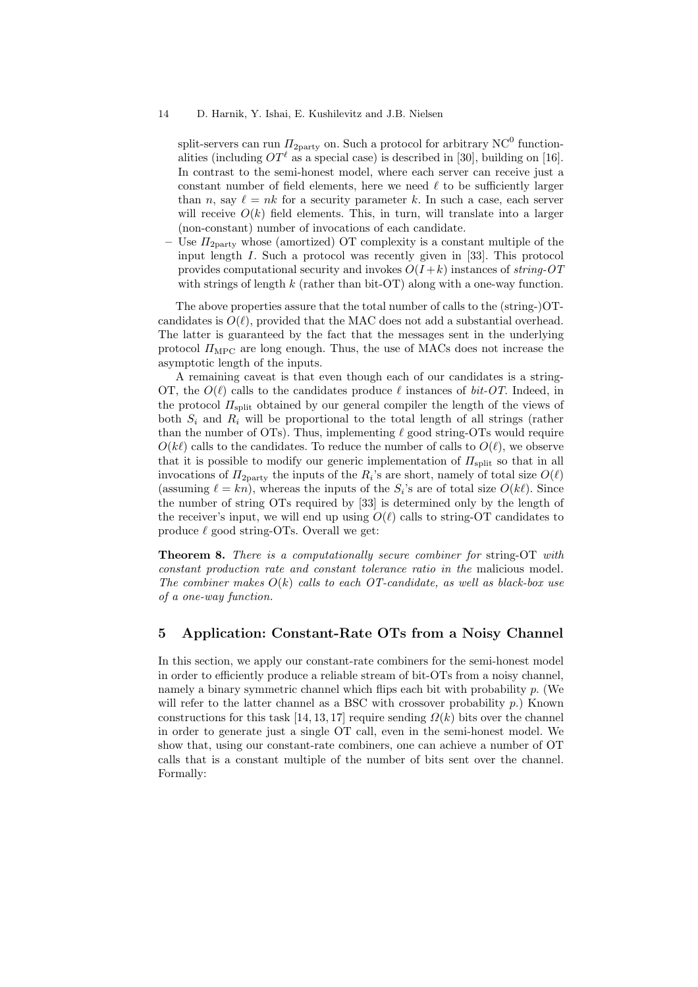#### 14 D. Harnik, Y. Ishai, E. Kushilevitz and J.B. Nielsen

split-servers can run  $\Pi_{2\text{party}}$  on. Such a protocol for arbitrary NC<sup>0</sup> functionalities (including  $OT^{\ell}$  as a special case) is described in [30], building on [16]. In contrast to the semi-honest model, where each server can receive just a constant number of field elements, here we need  $\ell$  to be sufficiently larger than n, say  $\ell = nk$  for a security parameter k. In such a case, each server will receive  $O(k)$  field elements. This, in turn, will translate into a larger (non-constant) number of invocations of each candidate.

Use  $\Pi_{2\text{part}}$  whose (amortized) OT complexity is a constant multiple of the input length I. Such a protocol was recently given in [33]. This protocol provides computational security and invokes  $O(I+k)$  instances of string-OT with strings of length  $k$  (rather than bit-OT) along with a one-way function.

The above properties assure that the total number of calls to the (string-)OTcandidates is  $O(\ell)$ , provided that the MAC does not add a substantial overhead. The latter is guaranteed by the fact that the messages sent in the underlying protocol  $\Pi_{\text{MPC}}$  are long enough. Thus, the use of MACs does not increase the asymptotic length of the inputs.

A remaining caveat is that even though each of our candidates is a string-OT, the  $O(\ell)$  calls to the candidates produce  $\ell$  instances of bit-OT. Indeed, in the protocol  $\Pi_{\text{split}}$  obtained by our general compiler the length of the views of both  $S_i$  and  $R_i$  will be proportional to the total length of all strings (rather than the number of OTs). Thus, implementing  $\ell$  good string-OTs would require  $O(k\ell)$  calls to the candidates. To reduce the number of calls to  $O(\ell)$ , we observe that it is possible to modify our generic implementation of  $\Pi_{\text{split}}$  so that in all invocations of  $\Pi_{2\text{party}}$  the inputs of the  $R_i$ 's are short, namely of total size  $O(\ell)$ (assuming  $\ell = kn$ ), whereas the inputs of the  $S_i$ 's are of total size  $O(k\ell)$ . Since the number of string OTs required by [33] is determined only by the length of the receiver's input, we will end up using  $O(\ell)$  calls to string-OT candidates to produce  $\ell$  good string-OTs. Overall we get:

**Theorem 8.** There is a computationally secure combiner for string-OT with constant production rate and constant tolerance ratio in the malicious model. The combiner makes  $O(k)$  calls to each OT-candidate, as well as black-box use of a one-way function.

## 5 Application: Constant-Rate OTs from a Noisy Channel

In this section, we apply our constant-rate combiners for the semi-honest model in order to efficiently produce a reliable stream of bit-OTs from a noisy channel, namely a binary symmetric channel which flips each bit with probability p. (We will refer to the latter channel as a BSC with crossover probability  $p$ .) Known constructions for this task [14, 13, 17] require sending  $\Omega(k)$  bits over the channel in order to generate just a single OT call, even in the semi-honest model. We show that, using our constant-rate combiners, one can achieve a number of OT calls that is a constant multiple of the number of bits sent over the channel. Formally: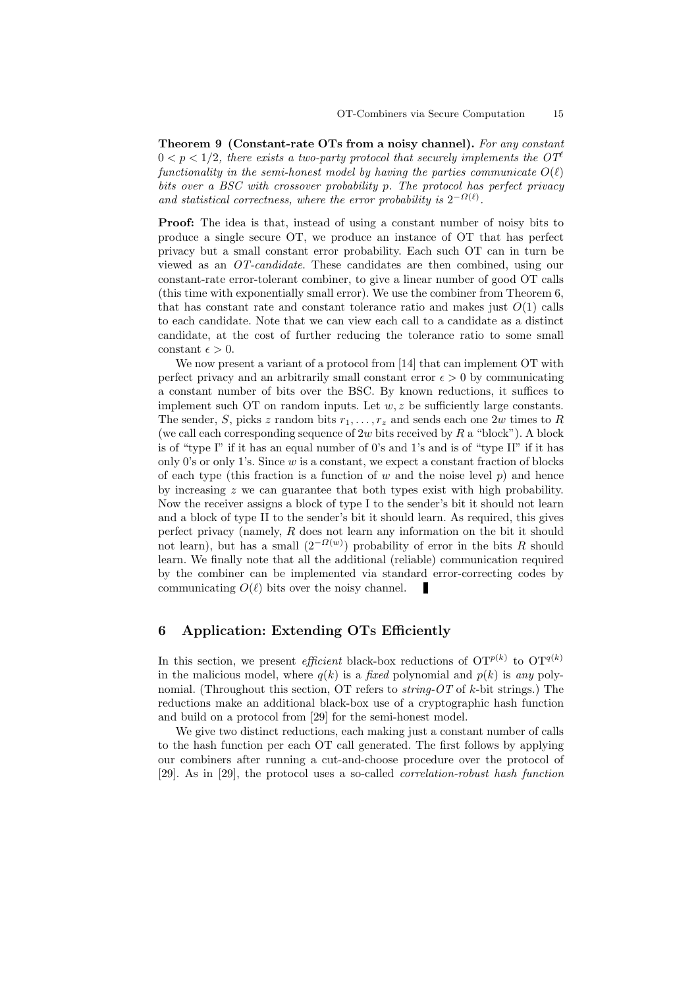Theorem 9 (Constant-rate OTs from a noisy channel). For any constant  $0 < p < 1/2$ , there exists a two-party protocol that securely implements the  $OT^{\ell}$ functionality in the semi-honest model by having the parties communicate  $O(\ell)$ bits over a BSC with crossover probability p. The protocol has perfect privacy and statistical correctness, where the error probability is  $2^{-\Omega(\ell)}$ .

Proof: The idea is that, instead of using a constant number of noisy bits to produce a single secure OT, we produce an instance of OT that has perfect privacy but a small constant error probability. Each such OT can in turn be viewed as an OT-candidate. These candidates are then combined, using our constant-rate error-tolerant combiner, to give a linear number of good OT calls (this time with exponentially small error). We use the combiner from Theorem 6, that has constant rate and constant tolerance ratio and makes just  $O(1)$  calls to each candidate. Note that we can view each call to a candidate as a distinct candidate, at the cost of further reducing the tolerance ratio to some small constant  $\epsilon > 0$ .

We now present a variant of a protocol from [14] that can implement OT with perfect privacy and an arbitrarily small constant error  $\epsilon > 0$  by communicating a constant number of bits over the BSC. By known reductions, it suffices to implement such OT on random inputs. Let  $w, z$  be sufficiently large constants. The sender, S, picks z random bits  $r_1, \ldots, r_z$  and sends each one 2w times to R (we call each corresponding sequence of 2w bits received by R a "block"). A block is of "type I" if it has an equal number of 0's and 1's and is of "type II" if it has only 0's or only 1's. Since  $w$  is a constant, we expect a constant fraction of blocks of each type (this fraction is a function of w and the noise level  $p$ ) and hence by increasing  $z$  we can guarantee that both types exist with high probability. Now the receiver assigns a block of type I to the sender's bit it should not learn and a block of type II to the sender's bit it should learn. As required, this gives perfect privacy (namely, R does not learn any information on the bit it should not learn), but has a small  $(2^{-\Omega(w)})$  probability of error in the bits R should learn. We finally note that all the additional (reliable) communication required by the combiner can be implemented via standard error-correcting codes by communicating  $O(\ell)$  bits over the noisy channel.

## 6 Application: Extending OTs Efficiently

In this section, we present *efficient* black-box reductions of  $\mathrm{OT}^{p(k)}$  to  $\mathrm{OT}^{q(k)}$ in the malicious model, where  $q(k)$  is a fixed polynomial and  $p(k)$  is any polynomial. (Throughout this section, OT refers to  $string-OT$  of k-bit strings.) The reductions make an additional black-box use of a cryptographic hash function and build on a protocol from [29] for the semi-honest model.

We give two distinct reductions, each making just a constant number of calls to the hash function per each OT call generated. The first follows by applying our combiners after running a cut-and-choose procedure over the protocol of [29]. As in [29], the protocol uses a so-called correlation-robust hash function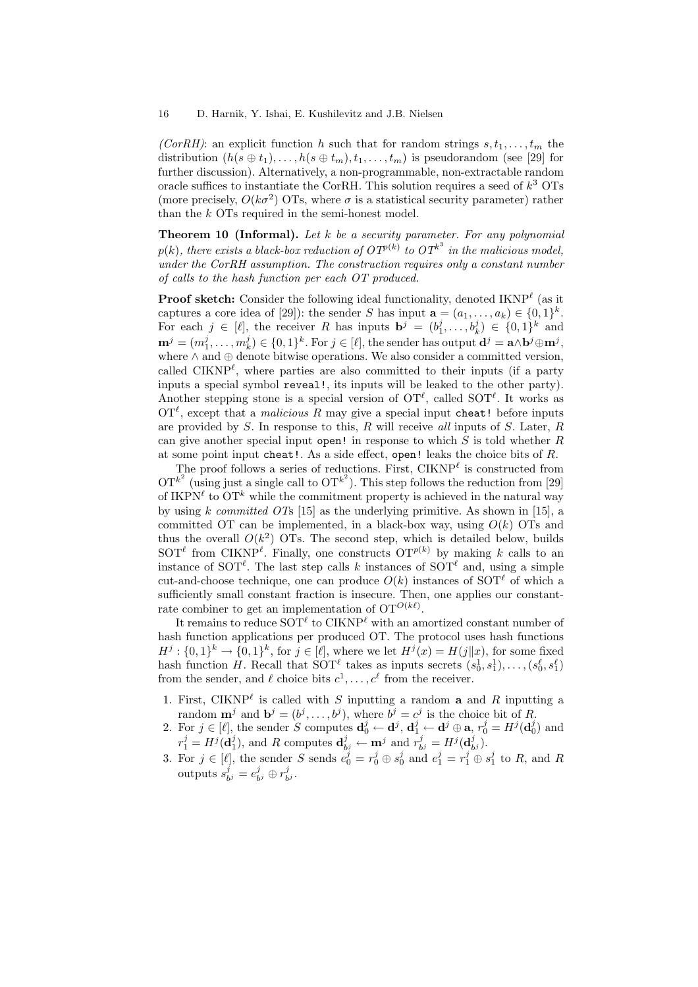(CorRH): an explicit function h such that for random strings  $s, t_1, \ldots, t_m$  the distribution  $(h(s \oplus t_1), \ldots, h(s \oplus t_m), t_1, \ldots, t_m)$  is pseudorandom (see [29] for further discussion). Alternatively, a non-programmable, non-extractable random oracle suffices to instantiate the CorRH. This solution requires a seed of  $k^3$  OTs (more precisely,  $O(k\sigma^2)$  OTs, where  $\sigma$  is a statistical security parameter) rather than the k OTs required in the semi-honest model.

**Theorem 10 (Informal).** Let  $k$  be a security parameter. For any polynomial  $p(k),$  there exists a black-box reduction of  $OT^{p(k)}$  to  $OT^{k^3}$  in the malicious model, under the CorRH assumption. The construction requires only a constant number of calls to the hash function per each OT produced.

**Proof sketch:** Consider the following ideal functionality, denoted  $IKNP<sup>l</sup>$  (as it captures a core idea of [29]): the sender S has input  $\mathbf{a} = (a_1, \dots, a_k) \in \{0, 1\}^k$ . For each  $j \in [\ell]$ , the receiver R has inputs  $\mathbf{b}^j = (b_1^j, \ldots, b_k^j) \in \{0,1\}^k$  and  $\mathbf{m}^j = (m_1^j, \ldots, m_k^j) \in \{0, 1\}^k$ . For  $j \in [\ell],$  the sender has output  $\mathbf{d}^j = \mathbf{a} \wedge \mathbf{b}^j \oplus \mathbf{m}^j$ , where ∧ and ⊕ denote bitwise operations. We also consider a committed version, called  $\text{CIKNP}^{\ell}$ , where parties are also committed to their inputs (if a party inputs a special symbol reveal!, its inputs will be leaked to the other party). Another stepping stone is a special version of  $OT^{\ell}$ , called  $SOT^{\ell}$ . It works as  $\mathrm{OT}^{\ell}$ , except that a *malicious* R may give a special input cheat! before inputs are provided by  $S$ . In response to this,  $R$  will receive all inputs of  $S$ . Later,  $R$ can give another special input open! in response to which  $S$  is told whether  $R$ at some point input cheat!. As a side effect, open! leaks the choice bits of R.

The proof follows a series of reductions. First,  $\text{CIKNP}^{\ell}$  is constructed from  $\mathrm{OT}^{k^2}$  (using just a single call to  $\mathrm{OT}^{k^2}$ ). This step follows the reduction from [29] of IKPN<sup> $\ell$ </sup> to OT<sup>k</sup> while the commitment property is achieved in the natural way by using k committed OTs  $[15]$  as the underlying primitive. As shown in  $[15]$ , a committed OT can be implemented, in a black-box way, using  $O(k)$  OTs and thus the overall  $O(k^2)$  OTs. The second step, which is detailed below, builds SOT<sup> $\ell$ </sup> from CIKNP<sup> $\ell$ </sup>. Finally, one constructs OT<sup> $p(k)$ </sup> by making k calls to an instance of SOT<sup> $\ell$ </sup>. The last step calls k instances of SOT $\ell$  and, using a simple cut-and-choose technique, one can produce  $O(k)$  instances of SOT<sup> $\ell$ </sup> of which a sufficiently small constant fraction is insecure. Then, one applies our constantrate combiner to get an implementation of  $\mathrm{OT}^{O(k\ell)}$ .

It remains to reduce  $\text{SOT}^{\ell}$  to  $\text{CIKNP}^{\ell}$  with an amortized constant number of hash function applications per produced OT. The protocol uses hash functions  $H^j: \{0,1\}^k \to \{0,1\}^k$ , for  $j \in [\ell]$ , where we let  $H^j(x) = H(j||x)$ , for some fixed hash function H. Recall that  $SOT^{\ell}$  takes as inputs secrets  $(s_0^1, s_1^1), \ldots, (s_0^{\ell}, s_1^{\ell})$ from the sender, and  $\ell$  choice bits  $c^1, \ldots, c^{\ell}$  from the receiver.

- 1. First, CIKNP<sup> $\ell$ </sup> is called with S inputting a random **a** and R inputting a random  $\mathbf{m}^j$  and  $\mathbf{b}^j = (b^j, \dots, b^j)$ , where  $b^j = c^j$  is the choice bit of R.
- 2. For  $j \in [\ell]$ , the sender S computes  $\mathbf{d}_0^j \leftarrow \mathbf{d}^j$ ,  $\mathbf{d}_1^j \leftarrow \mathbf{d}^j \oplus \mathbf{a}, r_0^j = H^j(\mathbf{d}_0^j)$  and  $r_1^j = H^j(\mathbf{d}_1^j)$ , and R computes  $\mathbf{d}_b^j$  $\psi_{b_j}^j \leftarrow \mathbf{m}^j$  and  $r_b^j$  $_{b^{j}}^{j}=H^{j}(\mathbf{d}_{b}^{j}% ,\mathbf{b}_{c}^{j})\mathbf{\boldsymbol{\hat{\theta}}}_{b^{j}}^{j}$  $_{b^{j}}^{j}).$
- 3. For  $j \in [\ell]$ , the sender S sends  $e_0^j = r_0^j \oplus s_0^j$  and  $e_1^j = r_1^j \oplus s_1^j$  to R, and R outputs  $s_k^j$  $\bar{j}_{b^j}=e_b^j$  $_{b^{j}}^{j}\oplus r_{b}^{j}$  $_{b^{j}}^{j}.$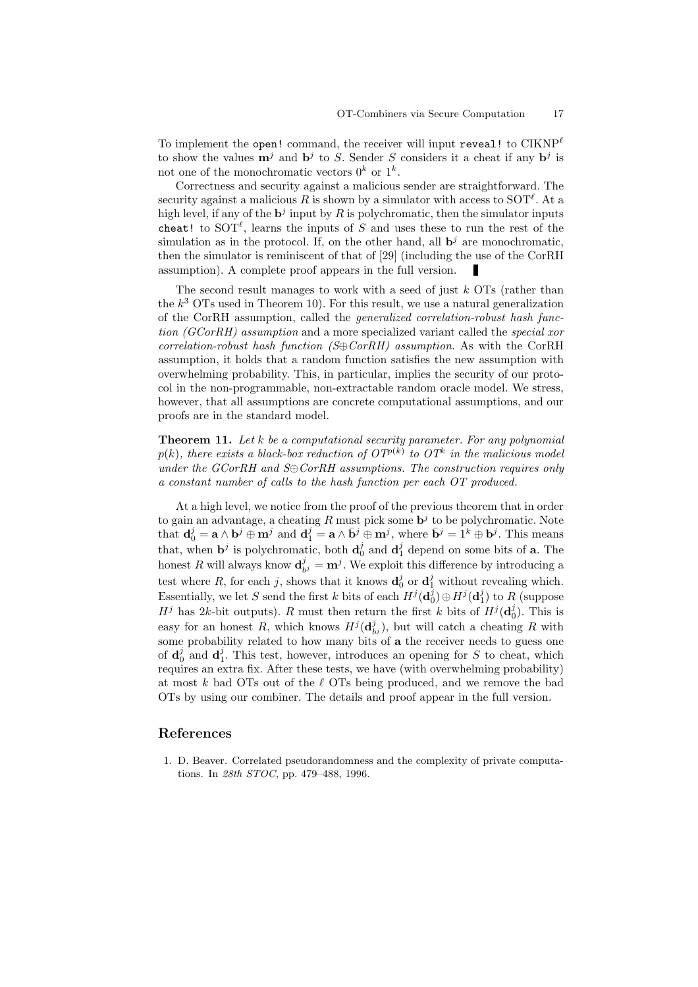To implement the open! command, the receiver will input reveal! to  $\text{CIKNP}^{\ell}$ to show the values  $\mathbf{m}^j$  and  $\mathbf{b}^j$  to S. Sender S considers it a cheat if any  $\mathbf{b}^j$  is not one of the monochromatic vectors  $0^k$  or  $1^k$ .

Correctness and security against a malicious sender are straightforward. The security against a malicious R is shown by a simulator with access to  $SOT<sup>\ell</sup>$ . At a high level, if any of the  $\mathbf{b}^j$  input by R is polychromatic, then the simulator inputs cheat! to  $SOT^{\ell}$ , learns the inputs of S and uses these to run the rest of the simulation as in the protocol. If, on the other hand, all  $\mathbf{b}^j$  are monochromatic, then the simulator is reminiscent of that of [29] (including the use of the CorRH assumption). A complete proof appears in the full version. п

The second result manages to work with a seed of just  $k$  OTs (rather than the  $k^3$  OTs used in Theorem 10). For this result, we use a natural generalization of the CorRH assumption, called the generalized correlation-robust hash function (GCorRH) assumption and a more specialized variant called the special xor correlation-robust hash function  $(S \oplus CorRH)$  assumption. As with the CorRH assumption, it holds that a random function satisfies the new assumption with overwhelming probability. This, in particular, implies the security of our protocol in the non-programmable, non-extractable random oracle model. We stress, however, that all assumptions are concrete computational assumptions, and our proofs are in the standard model.

**Theorem 11.** Let  $k$  be a computational security parameter. For any polynomial  $p(k)$ , there exists a black-box reduction of  $OT^{p(k)}$  to  $OT^k$  in the malicious model under the  $GCorRH$  and  $Soplus CorRH$  assumptions. The construction requires only a constant number of calls to the hash function per each OT produced.

At a high level, we notice from the proof of the previous theorem that in order to gain an advantage, a cheating R must pick some  $\mathbf{b}^j$  to be polychromatic. Note that  $\mathbf{d}_0^j = \mathbf{a} \wedge \mathbf{b}^j \oplus \mathbf{m}^j$  and  $\mathbf{d}_1^j = \mathbf{a} \wedge \mathbf{b}^j \oplus \mathbf{m}^j$ , where  $\mathbf{b}^j = 1^k \oplus \mathbf{b}^j$ . This means that, when  $\mathbf{b}^j$  is polychromatic, both  $\mathbf{d}_0^j$  and  $\mathbf{d}_1^j$  depend on some bits of **a**. The honest R will always know  $\mathbf{d}_h^j$  $\mathbf{b}_b^j = \mathbf{m}^j$ . We exploit this difference by introducing a test where R, for each j, shows that it knows  $\mathbf{d}_0^j$  or  $\mathbf{d}_1^j$  without revealing which. Essentially, we let S send the first k bits of each  $H^j(\mathbf{d}_0^j) \oplus H^j(\mathbf{d}_1^j)$  to R (suppose  $H^j$  has 2k-bit outputs). R must then return the first k bits of  $H^j(\mathbf{d}_0^j)$ . This is easy for an honest R, which knows  $H^j(\mathbf{d}_h^j)$  $_{b}^{j}$ ), but will catch a cheating R with some probability related to how many bits of a the receiver needs to guess one of  $\mathbf{d}_0^j$  and  $\mathbf{d}_1^j$ . This test, however, introduces an opening for S to cheat, which requires an extra fix. After these tests, we have (with overwhelming probability) at most k bad OTs out of the  $\ell$  OTs being produced, and we remove the bad OTs by using our combiner. The details and proof appear in the full version.

## References

1. D. Beaver. Correlated pseudorandomness and the complexity of private computations. In 28th STOC, pp. 479–488, 1996.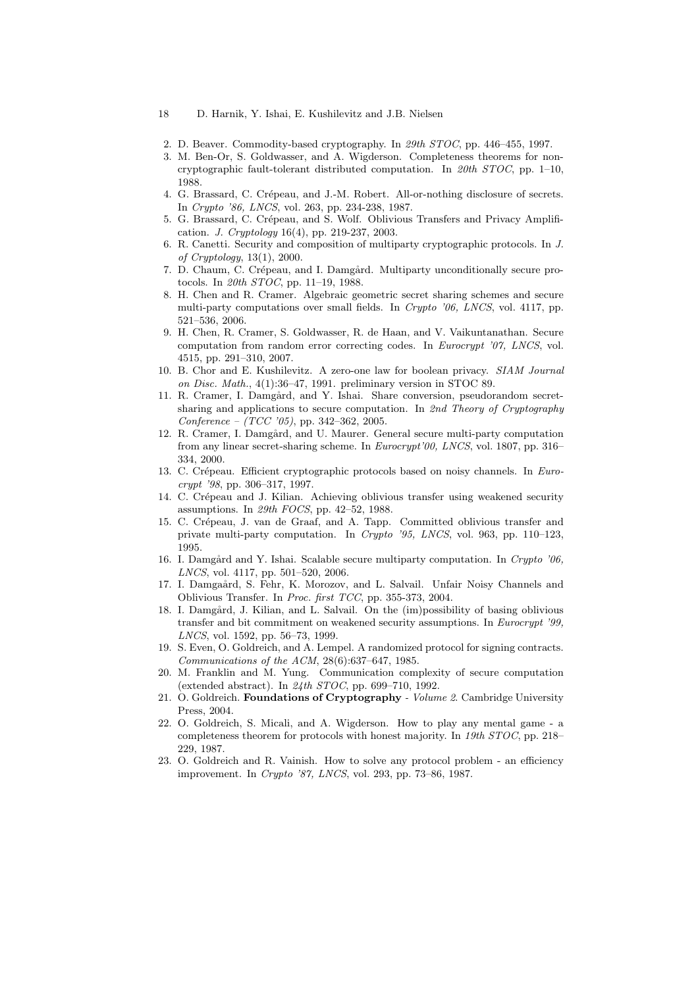- 18 D. Harnik, Y. Ishai, E. Kushilevitz and J.B. Nielsen
- 2. D. Beaver. Commodity-based cryptography. In 29th STOC, pp. 446–455, 1997.
- 3. M. Ben-Or, S. Goldwasser, and A. Wigderson. Completeness theorems for noncryptographic fault-tolerant distributed computation. In 20th STOC, pp. 1–10, 1988.
- 4. G. Brassard, C. Crépeau, and J.-M. Robert. All-or-nothing disclosure of secrets. In Crypto '86, LNCS, vol. 263, pp. 234-238, 1987.
- 5. G. Brassard, C. Crépeau, and S. Wolf. Oblivious Transfers and Privacy Amplification. J. Cryptology 16(4), pp. 219-237, 2003.
- 6. R. Canetti. Security and composition of multiparty cryptographic protocols. In J. of Cryptology, 13(1), 2000.
- 7. D. Chaum, C. Crépeau, and I. Damgård. Multiparty unconditionally secure protocols. In 20th STOC, pp. 11–19, 1988.
- 8. H. Chen and R. Cramer. Algebraic geometric secret sharing schemes and secure multi-party computations over small fields. In Crypto '06, LNCS, vol. 4117, pp. 521–536, 2006.
- 9. H. Chen, R. Cramer, S. Goldwasser, R. de Haan, and V. Vaikuntanathan. Secure computation from random error correcting codes. In Eurocrypt '07, LNCS, vol. 4515, pp. 291–310, 2007.
- 10. B. Chor and E. Kushilevitz. A zero-one law for boolean privacy. SIAM Journal on Disc. Math., 4(1):36–47, 1991. preliminary version in STOC 89.
- 11. R. Cramer, I. Damgård, and Y. Ishai. Share conversion, pseudorandom secretsharing and applications to secure computation. In 2nd Theory of Cryptography  $Conference - (TCC' 05)$ , pp. 342–362, 2005.
- 12. R. Cramer, I. Damgård, and U. Maurer. General secure multi-party computation from any linear secret-sharing scheme. In Eurocrypt'00, LNCS, vol. 1807, pp. 316– 334, 2000.
- 13. C. Crépeau. Efficient cryptographic protocols based on noisy channels. In  $Euro$ crypt '98, pp. 306–317, 1997.
- 14. C. Crépeau and J. Kilian. Achieving oblivious transfer using weakened security assumptions. In 29th FOCS, pp. 42–52, 1988.
- 15. C. Crépeau, J. van de Graaf, and A. Tapp. Committed oblivious transfer and private multi-party computation. In Crypto '95, LNCS, vol. 963, pp. 110–123, 1995.
- 16. I. Damgård and Y. Ishai. Scalable secure multiparty computation. In Crypto '06, LNCS, vol. 4117, pp. 501–520, 2006.
- 17. I. Damgaård, S. Fehr, K. Morozov, and L. Salvail. Unfair Noisy Channels and Oblivious Transfer. In Proc. first TCC, pp. 355-373, 2004.
- 18. I. Damgård, J. Kilian, and L. Salvail. On the (im)possibility of basing oblivious transfer and bit commitment on weakened security assumptions. In Eurocrypt '99, LNCS, vol. 1592, pp. 56–73, 1999.
- 19. S. Even, O. Goldreich, and A. Lempel. A randomized protocol for signing contracts. Communications of the ACM, 28(6):637–647, 1985.
- 20. M. Franklin and M. Yung. Communication complexity of secure computation (extended abstract). In 24th STOC, pp. 699–710, 1992.
- 21. O. Goldreich. Foundations of Cryptography Volume 2. Cambridge University Press, 2004.
- 22. O. Goldreich, S. Micali, and A. Wigderson. How to play any mental game a completeness theorem for protocols with honest majority. In 19th STOC, pp. 218– 229, 1987.
- 23. O. Goldreich and R. Vainish. How to solve any protocol problem an efficiency improvement. In Crypto '87, LNCS, vol. 293, pp. 73–86, 1987.